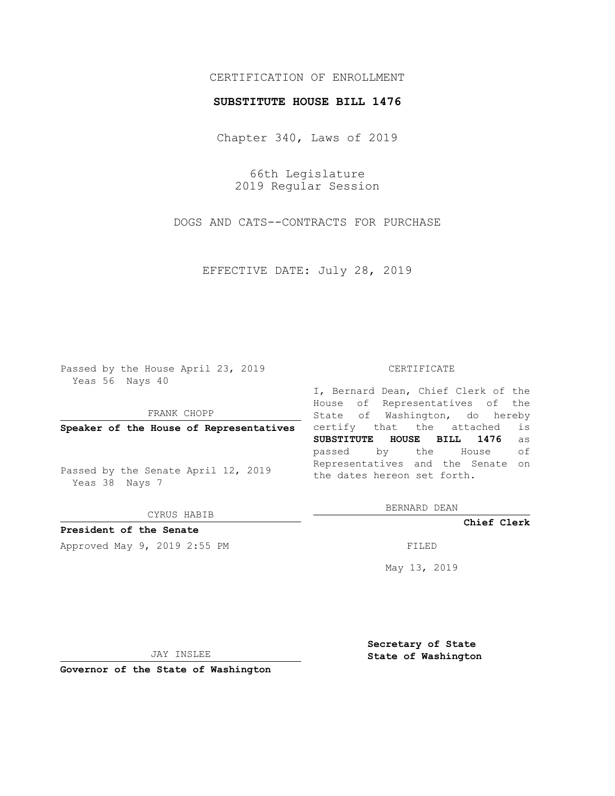## CERTIFICATION OF ENROLLMENT

### **SUBSTITUTE HOUSE BILL 1476**

Chapter 340, Laws of 2019

66th Legislature 2019 Regular Session

DOGS AND CATS--CONTRACTS FOR PURCHASE

EFFECTIVE DATE: July 28, 2019

Passed by the House April 23, 2019 Yeas 56 Nays 40

FRANK CHOPP

**Speaker of the House of Representatives**

Passed by the Senate April 12, 2019 Yeas 38 Nays 7

CYRUS HABIB

# **President of the Senate**

Approved May 9, 2019 2:55 PM

#### CERTIFICATE

I, Bernard Dean, Chief Clerk of the House of Representatives of the State of Washington, do hereby certify that the attached is **SUBSTITUTE HOUSE BILL 1476** as passed by the House of Representatives and the Senate on the dates hereon set forth.

BERNARD DEAN

**Chief Clerk**

May 13, 2019

JAY INSLEE

**Governor of the State of Washington**

**Secretary of State State of Washington**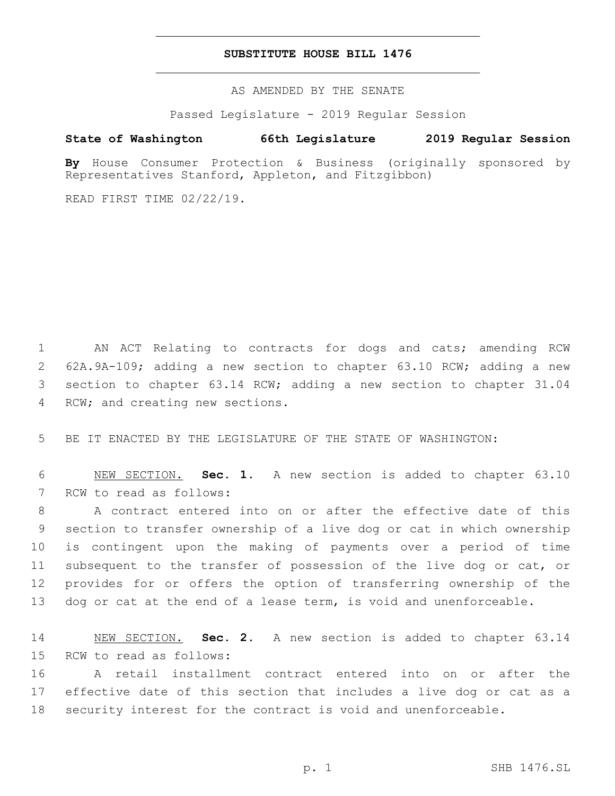### **SUBSTITUTE HOUSE BILL 1476**

AS AMENDED BY THE SENATE

Passed Legislature - 2019 Regular Session

# **State of Washington 66th Legislature 2019 Regular Session**

**By** House Consumer Protection & Business (originally sponsored by Representatives Stanford, Appleton, and Fitzgibbon)

READ FIRST TIME 02/22/19.

1 AN ACT Relating to contracts for dogs and cats; amending RCW 2 62A.9A-109; adding a new section to chapter 63.10 RCW; adding a new 3 section to chapter 63.14 RCW; adding a new section to chapter 31.04 4 RCW; and creating new sections.

5 BE IT ENACTED BY THE LEGISLATURE OF THE STATE OF WASHINGTON:

6 NEW SECTION. **Sec. 1.** A new section is added to chapter 63.10 7 RCW to read as follows:

 A contract entered into on or after the effective date of this section to transfer ownership of a live dog or cat in which ownership is contingent upon the making of payments over a period of time subsequent to the transfer of possession of the live dog or cat, or provides for or offers the option of transferring ownership of the 13 dog or cat at the end of a lease term, is void and unenforceable.

14 NEW SECTION. **Sec. 2.** A new section is added to chapter 63.14 15 RCW to read as follows:

16 A retail installment contract entered into on or after the 17 effective date of this section that includes a live dog or cat as a 18 security interest for the contract is void and unenforceable.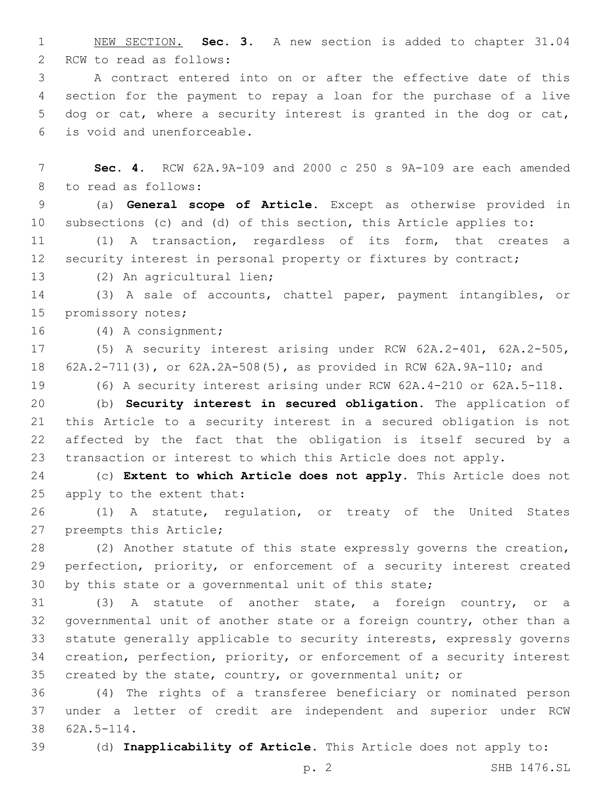NEW SECTION. **Sec. 3.** A new section is added to chapter 31.04 2 RCW to read as follows:

 A contract entered into on or after the effective date of this section for the payment to repay a loan for the purchase of a live dog or cat, where a security interest is granted in the dog or cat, is void and unenforceable.6

 **Sec. 4.** RCW 62A.9A-109 and 2000 c 250 s 9A-109 are each amended 8 to read as follows:

 (a) **General scope of Article.** Except as otherwise provided in subsections (c) and (d) of this section, this Article applies to:

 (1) A transaction, regardless of its form, that creates a 12 security interest in personal property or fixtures by contract;

13 (2) An agricultural lien;

 (3) A sale of accounts, chattel paper, payment intangibles, or 15 promissory notes;

16 (4) A consignment;

 (5) A security interest arising under RCW 62A.2-401, 62A.2-505, 62A.2-711(3), or 62A.2A-508(5), as provided in RCW 62A.9A-110; and

(6) A security interest arising under RCW 62A.4-210 or 62A.5-118.

 (b) **Security interest in secured obligation.** The application of this Article to a security interest in a secured obligation is not affected by the fact that the obligation is itself secured by a transaction or interest to which this Article does not apply.

 (c) **Extent to which Article does not apply.** This Article does not 25 apply to the extent that:

 (1) A statute, regulation, or treaty of the United States 27 preempts this Article;

 (2) Another statute of this state expressly governs the creation, perfection, priority, or enforcement of a security interest created by this state or a governmental unit of this state;

 (3) A statute of another state, a foreign country, or a governmental unit of another state or a foreign country, other than a statute generally applicable to security interests, expressly governs creation, perfection, priority, or enforcement of a security interest 35 created by the state, country, or governmental unit; or

 (4) The rights of a transferee beneficiary or nominated person under a letter of credit are independent and superior under RCW 38 62A.5-114.

(d) **Inapplicability of Article.** This Article does not apply to: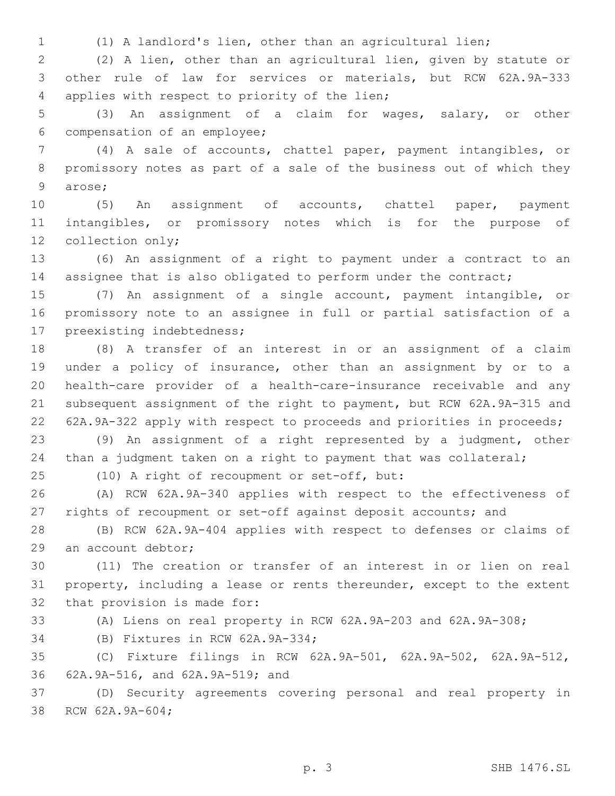(1) A landlord's lien, other than an agricultural lien;

 (2) A lien, other than an agricultural lien, given by statute or other rule of law for services or materials, but RCW 62A.9A-333 4 applies with respect to priority of the lien;

 (3) An assignment of a claim for wages, salary, or other 6 compensation of an employee;

 (4) A sale of accounts, chattel paper, payment intangibles, or promissory notes as part of a sale of the business out of which they 9 arose;

 (5) An assignment of accounts, chattel paper, payment intangibles, or promissory notes which is for the purpose of 12 collection only;

 (6) An assignment of a right to payment under a contract to an 14 assignee that is also obligated to perform under the contract;

 (7) An assignment of a single account, payment intangible, or promissory note to an assignee in full or partial satisfaction of a 17 preexisting indebtedness;

 (8) A transfer of an interest in or an assignment of a claim under a policy of insurance, other than an assignment by or to a health-care provider of a health-care-insurance receivable and any subsequent assignment of the right to payment, but RCW 62A.9A-315 and 62A.9A-322 apply with respect to proceeds and priorities in proceeds;

 (9) An assignment of a right represented by a judgment, other than a judgment taken on a right to payment that was collateral;

25 (10) A right of recoupment or set-off, but:

 (A) RCW 62A.9A-340 applies with respect to the effectiveness of rights of recoupment or set-off against deposit accounts; and

 (B) RCW 62A.9A-404 applies with respect to defenses or claims of 29 an account debtor;

 (11) The creation or transfer of an interest in or lien on real property, including a lease or rents thereunder, except to the extent 32 that provision is made for:

(A) Liens on real property in RCW 62A.9A-203 and 62A.9A-308;

34 (B) Fixtures in RCW 62A.9A-334;

 (C) Fixture filings in RCW 62A.9A-501, 62A.9A-502, 62A.9A-512, 62A.9A-516, and 62A.9A-519; and36

 (D) Security agreements covering personal and real property in 38 RCW 62A.9A-604;